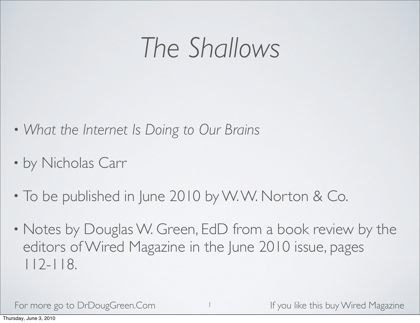### *The Shallows*

- *• What the Internet Is Doing to Our Brains*
- by Nicholas Carr
- To be published in June 2010 by W. W. Norton & Co.
- Notes by Douglas W. Green, EdD from a book review by the editors of Wired Magazine in the June 2010 issue, pages 112-118.

1

For more go to DrDougGreen.Com If you like this buy Wired Magazine

Thursday, June 3, 2010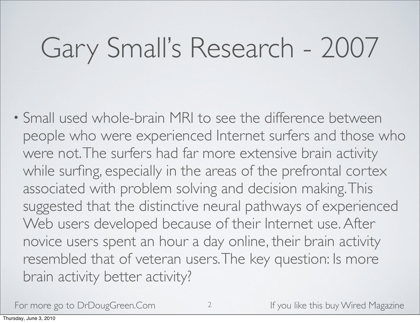## Gary Small's Research - 2007

• Small used whole-brain MRI to see the difference between people who were experienced Internet surfers and those who were not. The surfers had far more extensive brain activity while surfing, especially in the areas of the prefrontal cortex associated with problem solving and decision making. This suggested that the distinctive neural pathways of experienced Web users developed because of their Internet use. After novice users spent an hour a day online, their brain activity resembled that of veteran users. The key question: Is more brain activity better activity?

For more go to DrDougGreen.Com and the state of the this buy Wired Magazine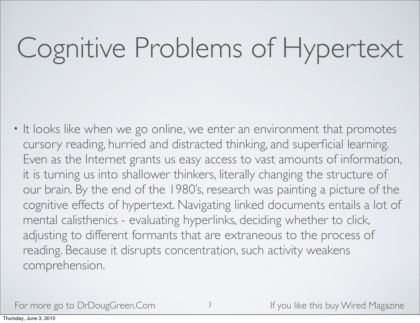# Cognitive Problems of Hypertext

• It looks like when we go online, we enter an environment that promotes cursory reading, hurried and distracted thinking, and superficial learning. Even as the Internet grants us easy access to vast amounts of information, it is turning us into shallower thinkers, literally changing the structure of our brain. By the end of the 1980's, research was painting a picture of the cognitive effects of hypertext. Navigating linked documents entails a lot of mental calisthenics - evaluating hyperlinks, deciding whether to click, adjusting to different formants that are extraneous to the process of reading. Because it disrupts concentration, such activity weakens comprehension.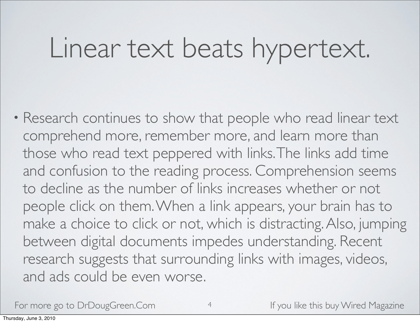### Linear text beats hypertext.

• Research continues to show that people who read linear text comprehend more, remember more, and learn more than those who read text peppered with links. The links add time and confusion to the reading process. Comprehension seems to decline as the number of links increases whether or not people click on them. When a link appears, your brain has to make a choice to click or not, which is distracting. Also, jumping between digital documents impedes understanding. Recent research suggests that surrounding links with images, videos, and ads could be even worse.

For more go to DrDougGreen.Com 4 If you like this buy Wired Magazine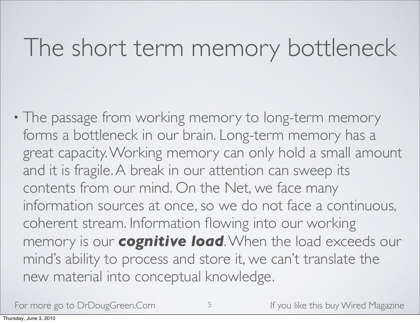#### The short term memory bottleneck

• The passage from working memory to long-term memory forms a bottleneck in our brain. Long-term memory has a great capacity. Working memory can only hold a small amount and it is fragile. A break in our attention can sweep its contents from our mind. On the Net, we face many information sources at once, so we do not face a continuous, coherent stream. Information flowing into our working memory is our *cognitive load*. When the load exceeds our mind's ability to process and store it, we can't translate the new material into conceptual knowledge.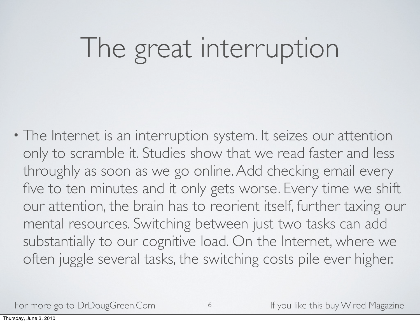## The great interruption

• The Internet is an interruption system. It seizes our attention only to scramble it. Studies show that we read faster and less throughly as soon as we go online. Add checking email every five to ten minutes and it only gets worse. Every time we shift our attention, the brain has to reorient itself, further taxing our mental resources. Switching between just two tasks can add substantially to our cognitive load. On the Internet, where we often juggle several tasks, the switching costs pile ever higher.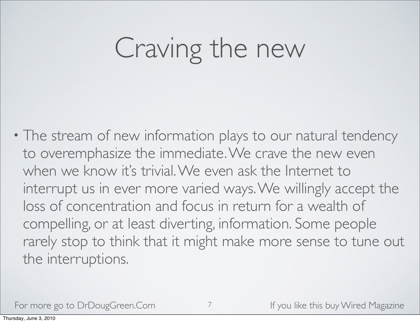## Craving the new

• The stream of new information plays to our natural tendency to overemphasize the immediate. We crave the new even when we know it's trivial. We even ask the Internet to interrupt us in ever more varied ways. We willingly accept the loss of concentration and focus in return for a wealth of compelling, or at least diverting, information. Some people rarely stop to think that it might make more sense to tune out the interruptions.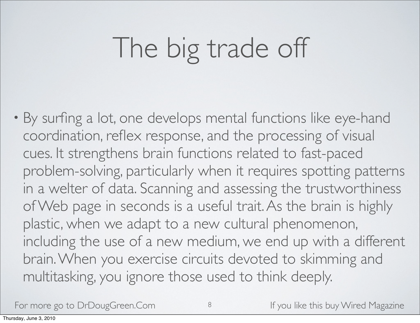# The big trade off

• By surfing a lot, one develops mental functions like eye-hand coordination, reflex response, and the processing of visual cues. It strengthens brain functions related to fast-paced problem-solving, particularly when it requires spotting patterns in a welter of data. Scanning and assessing the trustworthiness of Web page in seconds is a useful trait. As the brain is highly plastic, when we adapt to a new cultural phenomenon, including the use of a new medium, we end up with a different brain. When you exercise circuits devoted to skimming and multitasking, you ignore those used to think deeply.